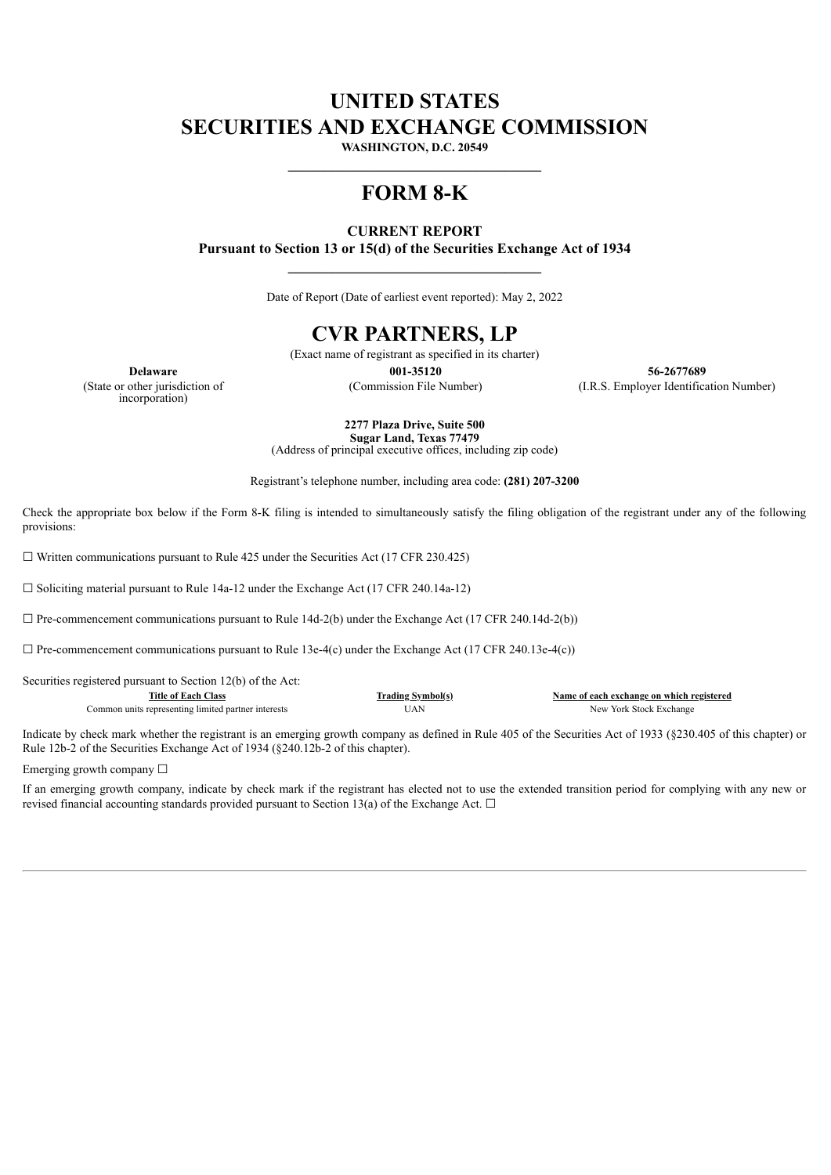# **UNITED STATES SECURITIES AND EXCHANGE COMMISSION**

**WASHINGTON, D.C. 20549**

# **FORM 8-K**

# **CURRENT REPORT Pursuant to Section 13 or 15(d) of the Securities Exchange Act of 1934**

Date of Report (Date of earliest event reported): May 2, 2022

**\_\_\_\_\_\_\_\_\_\_\_\_\_\_\_\_\_\_\_\_\_\_\_\_\_\_\_\_\_\_\_\_\_\_\_**

# **CVR PARTNERS, LP**

(Exact name of registrant as specified in its charter)

(State or other jurisdiction of incorporation)

**Delaware 001-35120 56-2677689** (Commission File Number) (I.R.S. Employer Identification Number)

> **2277 Plaza Drive, Suite 500 Sugar Land, Texas 77479** (Address of principal executive offices, including zip code)

Registrant's telephone number, including area code: **(281) 207-3200**

Check the appropriate box below if the Form 8-K filing is intended to simultaneously satisfy the filing obligation of the registrant under any of the following provisions:

 $\Box$  Written communications pursuant to Rule 425 under the Securities Act (17 CFR 230.425)

☐ Soliciting material pursuant to Rule 14a-12 under the Exchange Act (17 CFR 240.14a-12)

 $\Box$  Pre-commencement communications pursuant to Rule 14d-2(b) under the Exchange Act (17 CFR 240.14d-2(b))

 $\Box$  Pre-commencement communications pursuant to Rule 13e-4(c) under the Exchange Act (17 CFR 240.13e-4(c))

Securities registered pursuant to Section 12(b) of the Act:

| Title of Each<br>:las:                              | "rading Svmbol(s | Name of each exchange on which registered |
|-----------------------------------------------------|------------------|-------------------------------------------|
| Common units representing limited partner interests | JAN              | New York Stock Exchange                   |

Indicate by check mark whether the registrant is an emerging growth company as defined in Rule 405 of the Securities Act of 1933 (§230.405 of this chapter) or Rule 12b-2 of the Securities Exchange Act of 1934 (§240.12b-2 of this chapter).

Emerging growth company  $\Box$ 

If an emerging growth company, indicate by check mark if the registrant has elected not to use the extended transition period for complying with any new or revised financial accounting standards provided pursuant to Section 13(a) of the Exchange Act.  $\Box$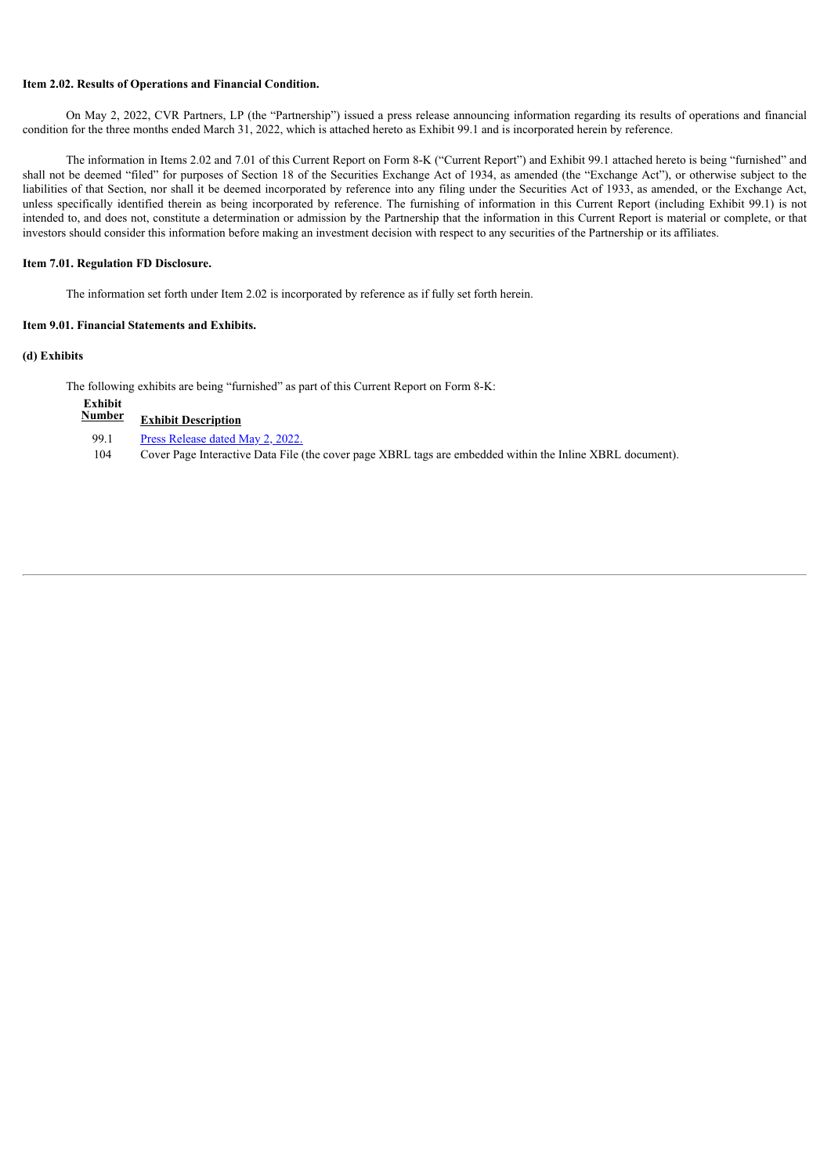#### **Item 2.02. Results of Operations and Financial Condition.**

On May 2, 2022, CVR Partners, LP (the "Partnership") issued a press release announcing information regarding its results of operations and financial condition for the three months ended March 31, 2022, which is attached hereto as Exhibit 99.1 and is incorporated herein by reference.

The information in Items 2.02 and 7.01 of this Current Report on Form 8-K ("Current Report") and Exhibit 99.1 attached hereto is being "furnished" and shall not be deemed "filed" for purposes of Section 18 of the Securities Exchange Act of 1934, as amended (the "Exchange Act"), or otherwise subject to the liabilities of that Section, nor shall it be deemed incorporated by reference into any filing under the Securities Act of 1933, as amended, or the Exchange Act, unless specifically identified therein as being incorporated by reference. The furnishing of information in this Current Report (including Exhibit 99.1) is not intended to, and does not, constitute a determination or admission by the Partnership that the information in this Current Report is material or complete, or that investors should consider this information before making an investment decision with respect to any securities of the Partnership or its affiliates.

#### **Item 7.01. Regulation FD Disclosure.**

The information set forth under Item 2.02 is incorporated by reference as if fully set forth herein.

#### **Item 9.01. Financial Statements and Exhibits.**

#### **(d) Exhibits**

The following exhibits are being "furnished" as part of this Current Report on Form 8-K:

| Exhibit |                                  |
|---------|----------------------------------|
| Number  | <b>Exhibit Description</b>       |
| 99.1    | Press Release dated May 2, 2022. |

| .   | $1.1000$ its is the contract it is $1.201$ , $\pm 0.201$ .                                                |
|-----|-----------------------------------------------------------------------------------------------------------|
| 104 | Cover Page Interactive Data File (the cover page XBRL tags are embedded within the Inline XBRL document). |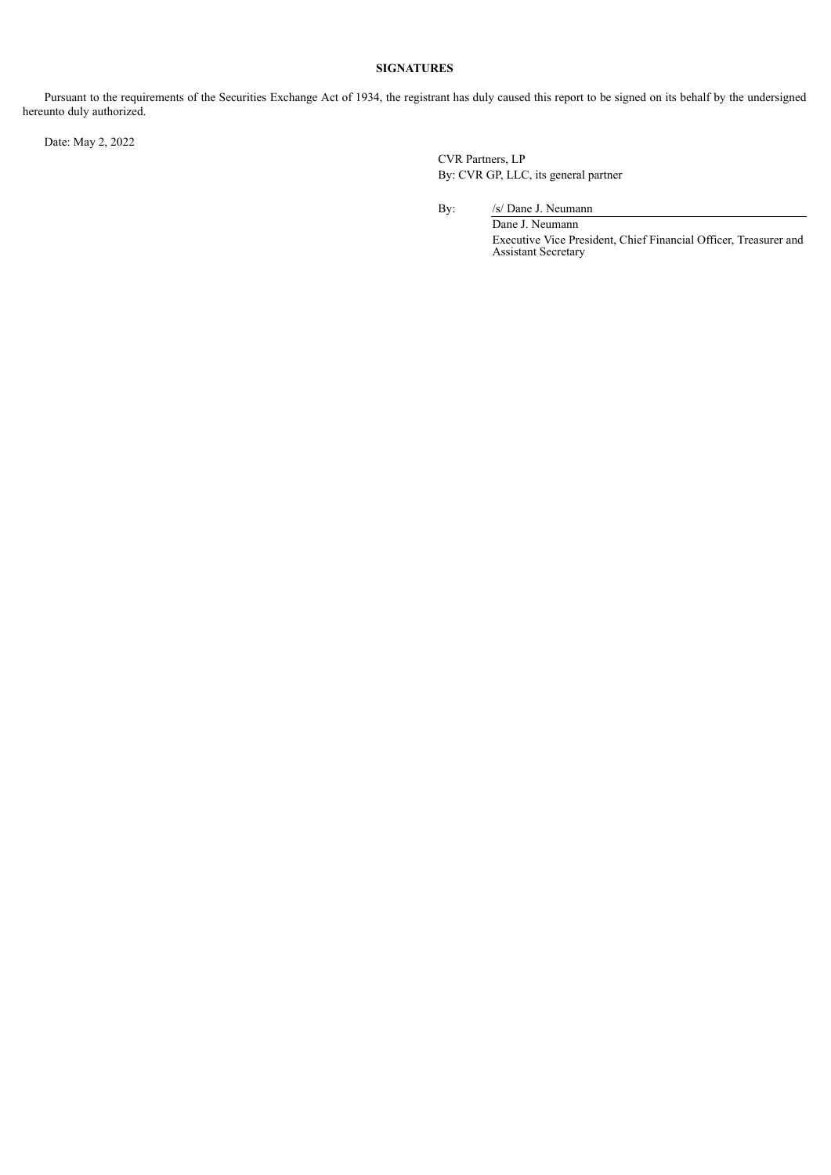# **SIGNATURES**

Pursuant to the requirements of the Securities Exchange Act of 1934, the registrant has duly caused this report to be signed on its behalf by the undersigned hereunto duly authorized.

Date: May 2, 2022

CVR Partners, LP By: CVR GP, LLC, its general partner

By: /s/ Dane J. Neumann

Dane J. Neumann Executive Vice President, Chief Financial Officer, Treasurer and Assistant Secretary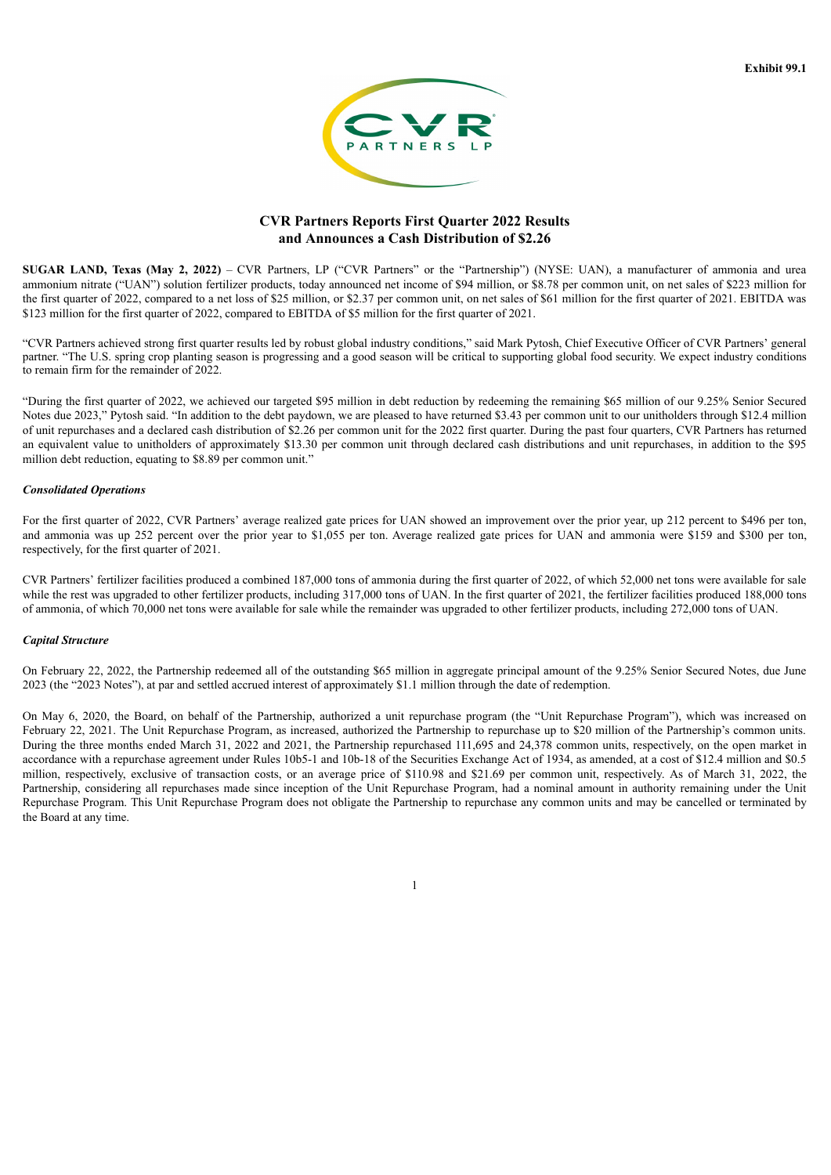

# **CVR Partners Reports First Quarter 2022 Results and Announces a Cash Distribution of \$2.26**

<span id="page-3-0"></span>**SUGAR LAND, Texas (May 2, 2022)** – CVR Partners, LP ("CVR Partners" or the "Partnership") (NYSE: UAN), a manufacturer of ammonia and urea ammonium nitrate ("UAN") solution fertilizer products, today announced net income of \$94 million, or \$8.78 per common unit, on net sales of \$223 million for the first quarter of 2022, compared to a net loss of \$25 million, or \$2.37 per common unit, on net sales of \$61 million for the first quarter of 2021. EBITDA was \$123 million for the first quarter of 2022, compared to EBITDA of \$5 million for the first quarter of 2021.

"CVR Partners achieved strong first quarter results led by robust global industry conditions," said Mark Pytosh, Chief Executive Officer of CVR Partners' general partner. "The U.S. spring crop planting season is progressing and a good season will be critical to supporting global food security. We expect industry conditions to remain firm for the remainder of 2022.

"During the first quarter of 2022, we achieved our targeted \$95 million in debt reduction by redeeming the remaining \$65 million of our 9.25% Senior Secured Notes due 2023," Pytosh said. "In addition to the debt paydown, we are pleased to have returned \$3.43 per common unit to our unitholders through \$12.4 million of unit repurchases and a declared cash distribution of \$2.26 per common unit for the 2022 first quarter. During the past four quarters, CVR Partners has returned an equivalent value to unitholders of approximately \$13.30 per common unit through declared cash distributions and unit repurchases, in addition to the \$95 million debt reduction, equating to \$8.89 per common unit."

#### *Consolidated Operations*

For the first quarter of 2022, CVR Partners' average realized gate prices for UAN showed an improvement over the prior year, up 212 percent to \$496 per ton, and ammonia was up 252 percent over the prior year to \$1,055 per ton. Average realized gate prices for UAN and ammonia were \$159 and \$300 per ton, respectively, for the first quarter of 2021.

CVR Partners' fertilizer facilities produced a combined 187,000 tons of ammonia during the first quarter of 2022, of which 52,000 net tons were available for sale while the rest was upgraded to other fertilizer products, including 317,000 tons of UAN. In the first quarter of 2021, the fertilizer facilities produced 188,000 tons of ammonia, of which 70,000 net tons were available for sale while the remainder was upgraded to other fertilizer products, including 272,000 tons of UAN.

## *Capital Structure*

On February 22, 2022, the Partnership redeemed all of the outstanding \$65 million in aggregate principal amount of the 9.25% Senior Secured Notes, due June 2023 (the "2023 Notes"), at par and settled accrued interest of approximately \$1.1 million through the date of redemption.

On May 6, 2020, the Board, on behalf of the Partnership, authorized a unit repurchase program (the "Unit Repurchase Program"), which was increased on February 22, 2021. The Unit Repurchase Program, as increased, authorized the Partnership to repurchase up to \$20 million of the Partnership's common units. During the three months ended March 31, 2022 and 2021, the Partnership repurchased 111,695 and 24,378 common units, respectively, on the open market in accordance with a repurchase agreement under Rules 10b5-1 and 10b-18 of the Securities Exchange Act of 1934, as amended, at a cost of \$12.4 million and \$0.5 million, respectively, exclusive of transaction costs, or an average price of \$110.98 and \$21.69 per common unit, respectively. As of March 31, 2022, the Partnership, considering all repurchases made since inception of the Unit Repurchase Program, had a nominal amount in authority remaining under the Unit Repurchase Program. This Unit Repurchase Program does not obligate the Partnership to repurchase any common units and may be cancelled or terminated by the Board at any time.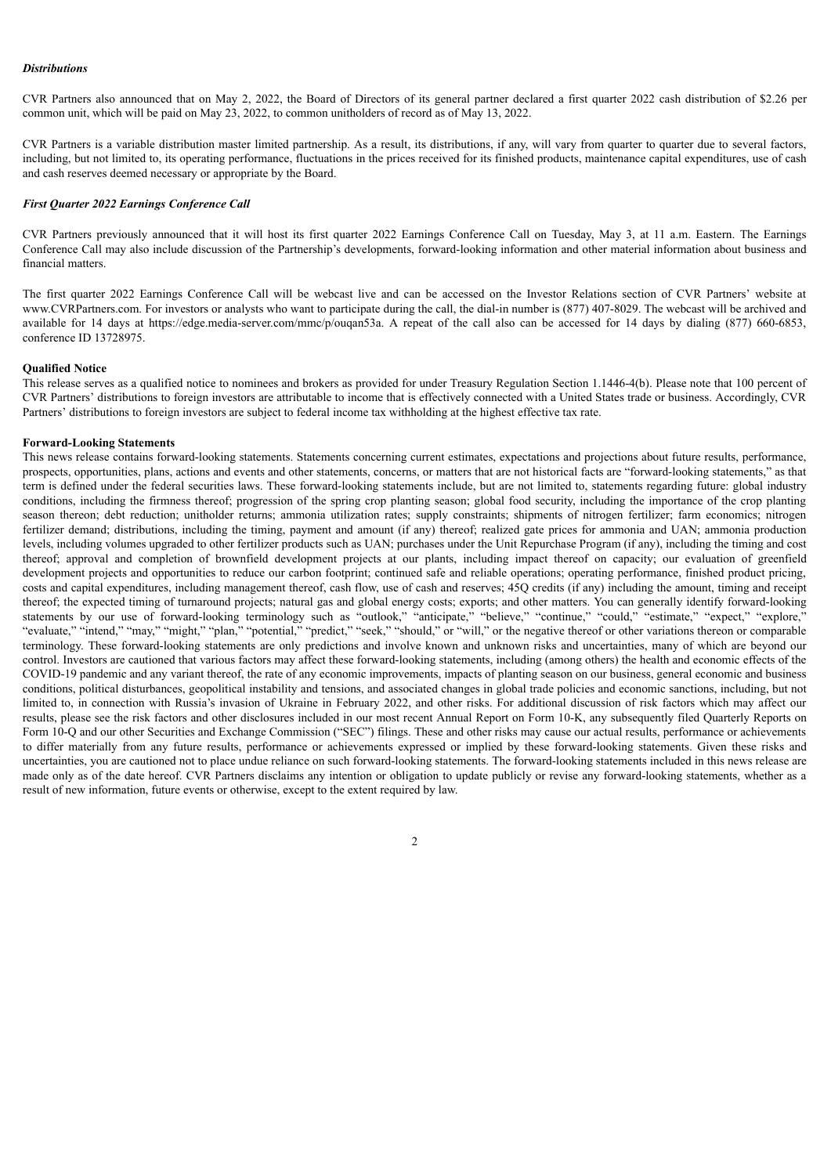#### *Distributions*

CVR Partners also announced that on May 2, 2022, the Board of Directors of its general partner declared a first quarter 2022 cash distribution of \$2.26 per common unit, which will be paid on May 23, 2022, to common unitholders of record as of May 13, 2022.

CVR Partners is a variable distribution master limited partnership. As a result, its distributions, if any, will vary from quarter to quarter due to several factors, including, but not limited to, its operating performance, fluctuations in the prices received for its finished products, maintenance capital expenditures, use of cash and cash reserves deemed necessary or appropriate by the Board.

#### *First Quarter 2022 Earnings Conference Call*

CVR Partners previously announced that it will host its first quarter 2022 Earnings Conference Call on Tuesday, May 3, at 11 a.m. Eastern. The Earnings Conference Call may also include discussion of the Partnership's developments, forward-looking information and other material information about business and financial matters.

The first quarter 2022 Earnings Conference Call will be webcast live and can be accessed on the Investor Relations section of CVR Partners' website at www.CVRPartners.com. For investors or analysts who want to participate during the call, the dial-in number is (877) 407-8029. The webcast will be archived and available for 14 days at https://edge.media-server.com/mmc/p/ouqan53a. A repeat of the call also can be accessed for 14 days by dialing (877) 660-6853, conference ID 13728975.

#### **Qualified Notice**

This release serves as a qualified notice to nominees and brokers as provided for under Treasury Regulation Section 1.1446-4(b). Please note that 100 percent of CVR Partners' distributions to foreign investors are attributable to income that is effectively connected with a United States trade or business. Accordingly, CVR Partners' distributions to foreign investors are subject to federal income tax withholding at the highest effective tax rate.

#### **Forward-Looking Statements**

This news release contains forward-looking statements. Statements concerning current estimates, expectations and projections about future results, performance, prospects, opportunities, plans, actions and events and other statements, concerns, or matters that are not historical facts are "forward-looking statements," as that term is defined under the federal securities laws. These forward-looking statements include, but are not limited to, statements regarding future: global industry conditions, including the firmness thereof; progression of the spring crop planting season; global food security, including the importance of the crop planting season thereon; debt reduction; unitholder returns; ammonia utilization rates; supply constraints; shipments of nitrogen fertilizer; farm economics; nitrogen fertilizer demand; distributions, including the timing, payment and amount (if any) thereof; realized gate prices for ammonia and UAN; ammonia production levels, including volumes upgraded to other fertilizer products such as UAN; purchases under the Unit Repurchase Program (if any), including the timing and cost thereof; approval and completion of brownfield development projects at our plants, including impact thereof on capacity; our evaluation of greenfield development projects and opportunities to reduce our carbon footprint; continued safe and reliable operations; operating performance, finished product pricing, costs and capital expenditures, including management thereof, cash flow, use of cash and reserves; 45Q credits (if any) including the amount, timing and receipt thereof; the expected timing of turnaround projects; natural gas and global energy costs; exports; and other matters. You can generally identify forward-looking statements by our use of forward-looking terminology such as "outlook," "anticipate," "believe," "continue," "could," "estimate," "expect," "explore," "evaluate," "intend," "may," "might," "plan," "potential," "predict," "seek," "should," or "will," or the negative thereof or other variations thereon or comparable terminology. These forward-looking statements are only predictions and involve known and unknown risks and uncertainties, many of which are beyond our control. Investors are cautioned that various factors may affect these forward-looking statements, including (among others) the health and economic effects of the COVID-19 pandemic and any variant thereof, the rate of any economic improvements, impacts of planting season on our business, general economic and business conditions, political disturbances, geopolitical instability and tensions, and associated changes in global trade policies and economic sanctions, including, but not limited to, in connection with Russia's invasion of Ukraine in February 2022, and other risks. For additional discussion of risk factors which may affect our results, please see the risk factors and other disclosures included in our most recent Annual Report on Form 10-K, any subsequently filed Quarterly Reports on Form 10-Q and our other Securities and Exchange Commission ("SEC") filings. These and other risks may cause our actual results, performance or achievements to differ materially from any future results, performance or achievements expressed or implied by these forward-looking statements. Given these risks and uncertainties, you are cautioned not to place undue reliance on such forward-looking statements. The forward-looking statements included in this news release are made only as of the date hereof. CVR Partners disclaims any intention or obligation to update publicly or revise any forward-looking statements, whether as a result of new information, future events or otherwise, except to the extent required by law.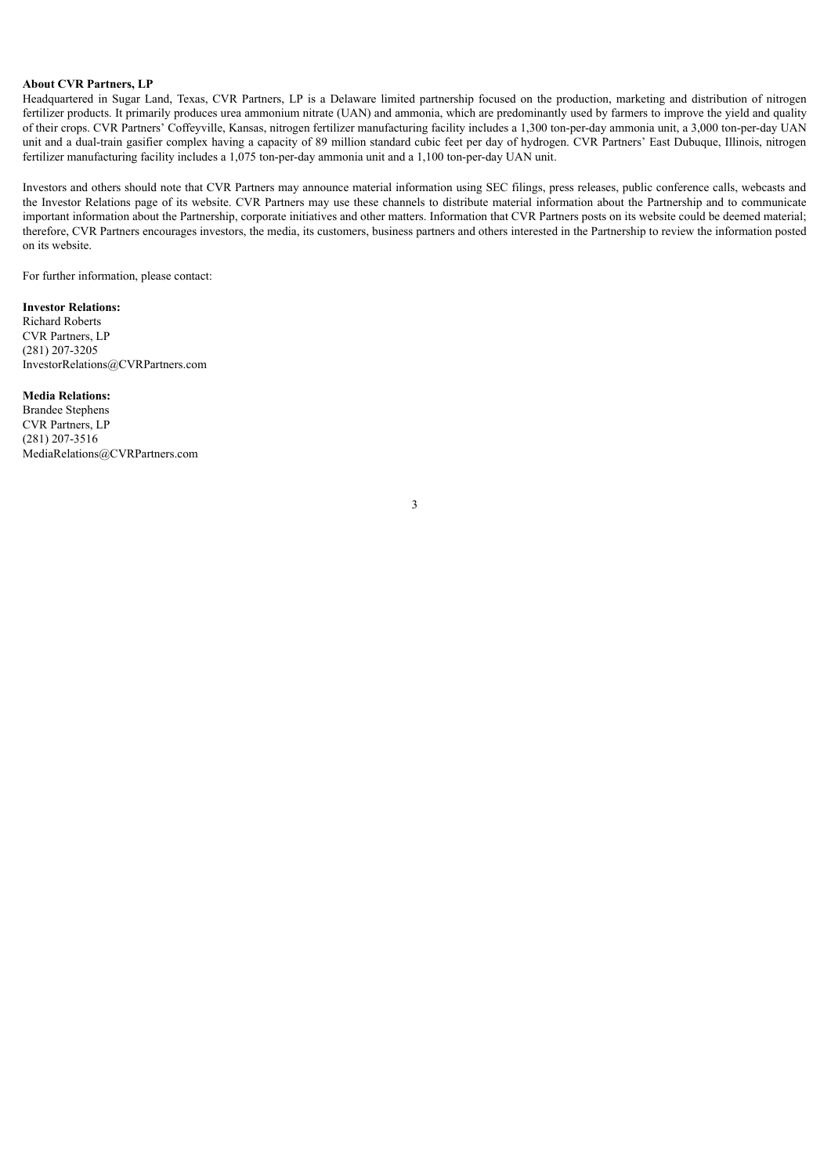# **About CVR Partners, LP**

Headquartered in Sugar Land, Texas, CVR Partners, LP is a Delaware limited partnership focused on the production, marketing and distribution of nitrogen fertilizer products. It primarily produces urea ammonium nitrate (UAN) and ammonia, which are predominantly used by farmers to improve the yield and quality of their crops. CVR Partners' Coffeyville, Kansas, nitrogen fertilizer manufacturing facility includes a 1,300 ton-per-day ammonia unit, a 3,000 ton-per-day UAN unit and a dual-train gasifier complex having a capacity of 89 million standard cubic feet per day of hydrogen. CVR Partners' East Dubuque, Illinois, nitrogen fertilizer manufacturing facility includes a 1,075 ton-per-day ammonia unit and a 1,100 ton-per-day UAN unit.

Investors and others should note that CVR Partners may announce material information using SEC filings, press releases, public conference calls, webcasts and the Investor Relations page of its website. CVR Partners may use these channels to distribute material information about the Partnership and to communicate important information about the Partnership, corporate initiatives and other matters. Information that CVR Partners posts on its website could be deemed material; therefore, CVR Partners encourages investors, the media, its customers, business partners and others interested in the Partnership to review the information posted on its website.

For further information, please contact:

#### **Investor Relations:**

Richard Roberts CVR Partners, LP (281) 207-3205 InvestorRelations@CVRPartners.com

#### **Media Relations:**

Brandee Stephens CVR Partners, LP (281) 207-3516 MediaRelations@CVRPartners.com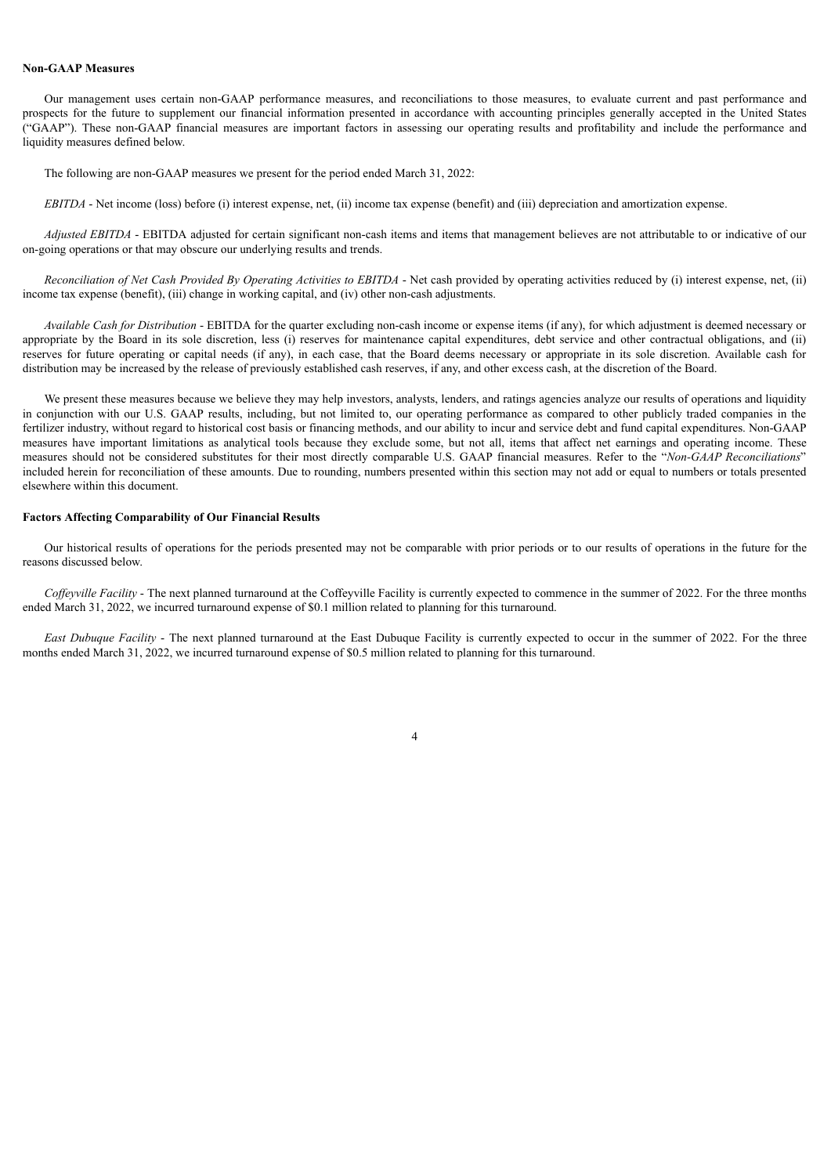#### **Non-GAAP Measures**

Our management uses certain non-GAAP performance measures, and reconciliations to those measures, to evaluate current and past performance and prospects for the future to supplement our financial information presented in accordance with accounting principles generally accepted in the United States ("GAAP"). These non-GAAP financial measures are important factors in assessing our operating results and profitability and include the performance and liquidity measures defined below.

The following are non-GAAP measures we present for the period ended March 31, 2022:

*EBITDA* - Net income (loss) before (i) interest expense, net, (ii) income tax expense (benefit) and (iii) depreciation and amortization expense.

*Adjusted EBITDA* - EBITDA adjusted for certain significant non-cash items and items that management believes are not attributable to or indicative of our on-going operations or that may obscure our underlying results and trends.

Reconciliation of Net Cash Provided By Operating Activities to EBITDA - Net cash provided by operating activities reduced by (i) interest expense, net, (ii) income tax expense (benefit), (iii) change in working capital, and (iv) other non-cash adjustments.

*Available Cash for Distribution* - EBITDA for the quarter excluding non-cash income or expense items (if any), for which adjustment is deemed necessary or appropriate by the Board in its sole discretion, less (i) reserves for maintenance capital expenditures, debt service and other contractual obligations, and (ii) reserves for future operating or capital needs (if any), in each case, that the Board deems necessary or appropriate in its sole discretion. Available cash for distribution may be increased by the release of previously established cash reserves, if any, and other excess cash, at the discretion of the Board.

We present these measures because we believe they may help investors, analysts, lenders, and ratings agencies analyze our results of operations and liquidity in conjunction with our U.S. GAAP results, including, but not limited to, our operating performance as compared to other publicly traded companies in the fertilizer industry, without regard to historical cost basis or financing methods, and our ability to incur and service debt and fund capital expenditures. Non-GAAP measures have important limitations as analytical tools because they exclude some, but not all, items that affect net earnings and operating income. These measures should not be considered substitutes for their most directly comparable U.S. GAAP financial measures. Refer to the "*Non-GAAP Reconciliations*" included herein for reconciliation of these amounts. Due to rounding, numbers presented within this section may not add or equal to numbers or totals presented elsewhere within this document.

#### **Factors Affecting Comparability of Our Financial Results**

Our historical results of operations for the periods presented may not be comparable with prior periods or to our results of operations in the future for the reasons discussed below.

Coffeyville Facility - The next planned turnaround at the Coffeyville Facility is currently expected to commence in the summer of 2022. For the three months ended March 31, 2022, we incurred turnaround expense of \$0.1 million related to planning for this turnaround.

*East Dubuque Facility* - The next planned turnaround at the East Dubuque Facility is currently expected to occur in the summer of 2022. For the three months ended March 31, 2022, we incurred turnaround expense of \$0.5 million related to planning for this turnaround.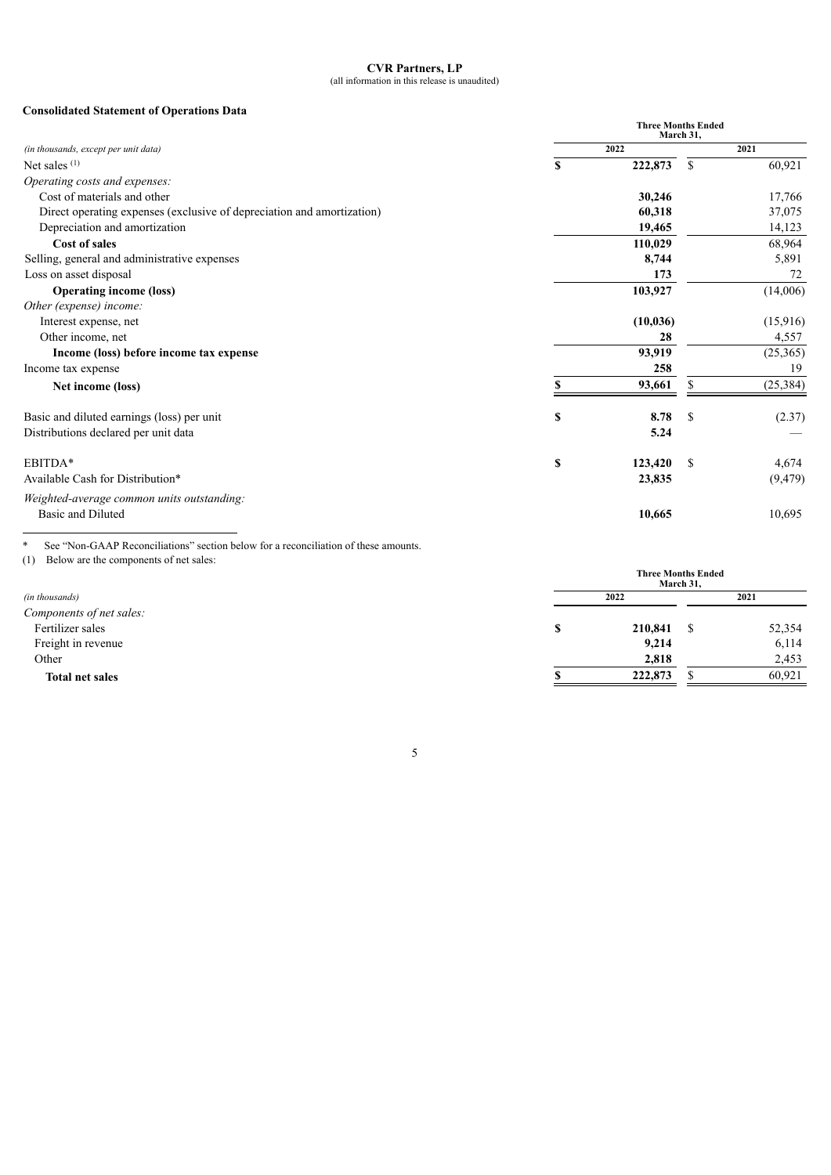#### **CVR Partners, LP** (all information in this release is unaudited)

# **Consolidated Statement of Operations Data**

|                                                                        | <b>Three Months Ended</b><br>March 31. |           |               |           |  |
|------------------------------------------------------------------------|----------------------------------------|-----------|---------------|-----------|--|
| (in thousands, except per unit data)                                   |                                        | 2022      |               | 2021      |  |
| Net sales <sup>(1)</sup>                                               | S                                      | 222,873   | <sup>\$</sup> | 60,921    |  |
| Operating costs and expenses:                                          |                                        |           |               |           |  |
| Cost of materials and other                                            |                                        | 30,246    |               | 17,766    |  |
| Direct operating expenses (exclusive of depreciation and amortization) |                                        | 60,318    |               | 37,075    |  |
| Depreciation and amortization                                          |                                        | 19,465    |               | 14,123    |  |
| Cost of sales                                                          |                                        | 110,029   |               | 68,964    |  |
| Selling, general and administrative expenses                           |                                        | 8,744     |               | 5,891     |  |
| Loss on asset disposal                                                 |                                        | 173       |               | 72        |  |
| <b>Operating income (loss)</b>                                         |                                        | 103,927   |               | (14,006)  |  |
| Other (expense) income:                                                |                                        |           |               |           |  |
| Interest expense, net                                                  |                                        | (10, 036) |               | (15,916)  |  |
| Other income, net                                                      |                                        | 28        |               | 4,557     |  |
| Income (loss) before income tax expense                                |                                        | 93,919    |               | (25, 365) |  |
| Income tax expense                                                     |                                        | 258       |               | 19        |  |
| Net income (loss)                                                      |                                        | 93,661    | S             | (25, 384) |  |
| Basic and diluted earnings (loss) per unit                             | \$                                     | 8.78      | -S            | (2.37)    |  |
| Distributions declared per unit data                                   |                                        | 5.24      |               |           |  |
| EBITDA*                                                                | \$                                     | 123,420   | <sup>\$</sup> | 4,674     |  |
| Available Cash for Distribution*                                       |                                        | 23,835    |               | (9, 479)  |  |
| Weighted-average common units outstanding:                             |                                        |           |               |           |  |
| <b>Basic and Diluted</b>                                               |                                        | 10,665    |               | 10,695    |  |

\* See "Non-GAAP Reconciliations" section below for a reconciliation of these amounts. (1) Below are the components of net sales:

| 2022    |  | 2021                                   |  |
|---------|--|----------------------------------------|--|
|         |  |                                        |  |
| 210,841 |  | 52,354                                 |  |
| 9,214   |  | 6,114                                  |  |
| 2,818   |  | 2,453                                  |  |
| 222,873 |  | 60,921                                 |  |
|         |  | <b>Three Months Ended</b><br>March 31, |  |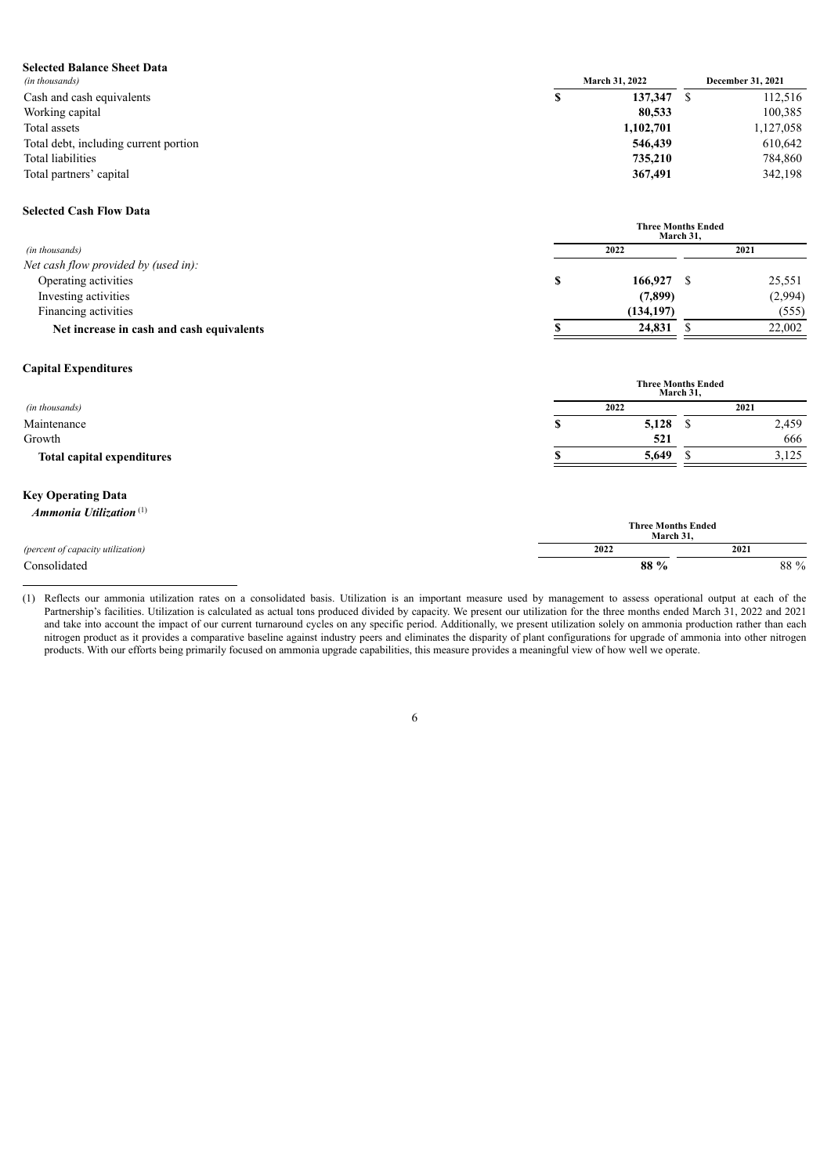| <b>Selected Balance Sheet Data</b>    |                       |                   |
|---------------------------------------|-----------------------|-------------------|
| (in thousands)                        | <b>March 31, 2022</b> | December 31, 2021 |
| Cash and cash equivalents             | 137,347               | 112,516           |
| Working capital                       | 80,533                | 100,385           |
| Total assets                          | 1,102,701             | 1,127,058         |
| Total debt, including current portion | 546,439               | 610,642           |
| Total liabilities                     | 735,210               | 784,860           |
| Total partners' capital               | 367,491               | 342,198           |

#### **Selected Cash Flow Data**

|                                           |  | <b>Three Months Ended</b> | March 31. |         |  |
|-------------------------------------------|--|---------------------------|-----------|---------|--|
| (in thousands)                            |  | 2022                      |           | 2021    |  |
| Net cash flow provided by (used in):      |  |                           |           |         |  |
| Operating activities                      |  | 166,927                   |           | 25,551  |  |
| Investing activities                      |  | (7,899)                   |           | (2,994) |  |
| Financing activities                      |  | (134, 197)                |           | (555)   |  |
| Net increase in cash and cash equivalents |  | 24,831                    |           | 22,002  |  |

# **Capital Expenditures**

|                                   | титее моналу еписи<br>March 31, |              |      |       |
|-----------------------------------|---------------------------------|--------------|------|-------|
| (in thousands)                    |                                 | 2022<br>2021 |      |       |
| Maintenance                       |                                 | 5,128        | - JD | 2,459 |
| Growth                            |                                 | 521          |      | 666   |
| <b>Total capital expenditures</b> |                                 | 5,649        |      | 3,125 |
|                                   |                                 |              |      |       |

**Three Months Ended**

# **Key Operating Data**

| Ammonia Utilization $(1)$         |      | <b>Three Months Ended</b> |
|-----------------------------------|------|---------------------------|
|                                   |      | March 31.                 |
| (percent of capacity utilization) | 2022 | 2021                      |
| Consolidated                      | 88 % | 88 %                      |

<sup>(1)</sup> Reflects our ammonia utilization rates on a consolidated basis. Utilization is an important measure used by management to assess operational output at each of the Partnership's facilities. Utilization is calculated as actual tons produced divided by capacity. We present our utilization for the three months ended March 31, 2022 and 2021 and take into account the impact of our current turnaround cycles on any specific period. Additionally, we present utilization solely on ammonia production rather than each and take into account the impact of our current t nitrogen product as it provides a comparative baseline against industry peers and eliminates the disparity of plant configurations for upgrade of ammonia into other nitrogen products. With our efforts being primarily focused on ammonia upgrade capabilities, this measure provides a meaningful view of how well we operate.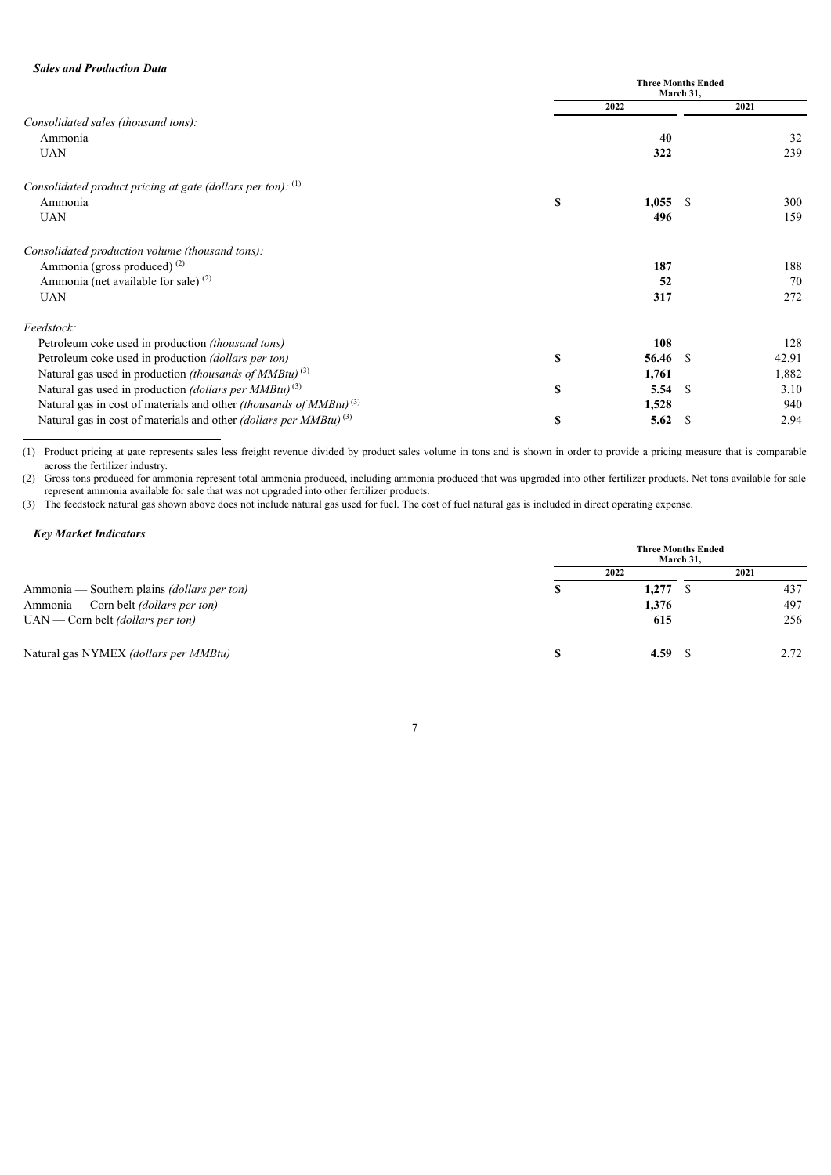|                                                                                       | <b>Three Months Ended</b><br>March 31, |       |    |       |
|---------------------------------------------------------------------------------------|----------------------------------------|-------|----|-------|
|                                                                                       |                                        | 2022  |    | 2021  |
| Consolidated sales (thousand tons):                                                   |                                        |       |    |       |
| Ammonia                                                                               |                                        | 40    |    | 32    |
| <b>UAN</b>                                                                            |                                        | 322   |    | 239   |
| Consolidated product pricing at gate (dollars per ton): $(1)$                         |                                        |       |    |       |
| Ammonia                                                                               | \$                                     | 1,055 | -S | 300   |
| <b>UAN</b>                                                                            |                                        | 496   |    | 159   |
| Consolidated production volume (thousand tons):                                       |                                        |       |    |       |
| Ammonia (gross produced) <sup>(2)</sup>                                               |                                        | 187   |    | 188   |
| Ammonia (net available for sale) $(2)$                                                |                                        | 52    |    | 70    |
| <b>UAN</b>                                                                            |                                        | 317   |    | 272   |
| Feedstock:                                                                            |                                        |       |    |       |
| Petroleum coke used in production <i>(thousand tons)</i>                              |                                        | 108   |    | 128   |
| Petroleum coke used in production (dollars per ton)                                   | \$                                     | 56.46 | -S | 42.91 |
| Natural gas used in production <i>(thousands of MMBtu)</i> <sup>(3)</sup>             |                                        | 1,761 |    | 1,882 |
| Natural gas used in production <i>(dollars per MMBtu)</i> <sup>(3)</sup>              | \$                                     | 5.54  | -S | 3.10  |
| Natural gas in cost of materials and other <i>(thousands of MMBtu)</i> <sup>(3)</sup> |                                        | 1,528 |    | 940   |
| Natural gas in cost of materials and other <i>(dollars per MMBtu)</i> <sup>(3)</sup>  | \$                                     | 5.62  | S  | 2.94  |

(1) Product pricing at gate represents sales less freight revenue divided by product sales volume in tons and is shown in order to provide a pricing measure that is comparable across the fertilizer industry.

(2) Gross tons produced for ammonia represent total ammonia produced, including ammonia produced that was upgraded into other fertilizer products. Net tons available for sale represent ammonia available for sale that was not upgraded into other fertilizer products.

(3) The feedstock natural gas shown above does not include natural gas used for fuel. The cost of fuel natural gas is included in direct operating expense.

# *Key Market Indicators*

|                                                    | <b>Three Months Ended</b><br>March 31. |       |  |      |
|----------------------------------------------------|----------------------------------------|-------|--|------|
|                                                    |                                        | 2022  |  | 2021 |
| Ammonia — Southern plains <i>(dollars per ton)</i> |                                        | 1,277 |  | 437  |
| Ammonia — Corn belt <i>(dollars per ton)</i>       |                                        | 1,376 |  | 497  |
| $UAN$ — Corn belt <i>(dollars per ton)</i>         |                                        | 615   |  | 256  |
| Natural gas NYMEX (dollars per MMBtu)              |                                        | 4.59  |  | 2.72 |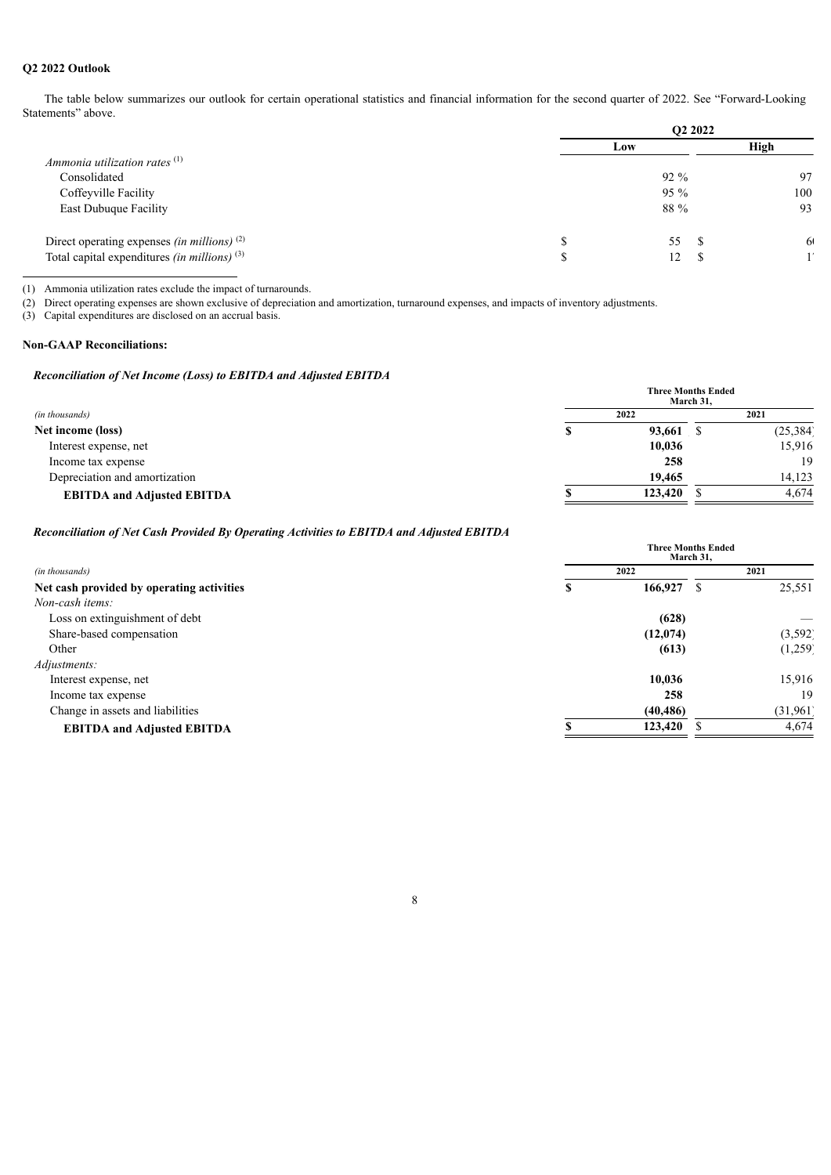# **Q2 2022 Outlook**

The table below summarizes our outlook for certain operational statistics and financial information for the second quarter of 2022. See "Forward-Looking Statements" above.

|                                                         | O <sub>2</sub> 2022 |    |               |  |
|---------------------------------------------------------|---------------------|----|---------------|--|
|                                                         | Low                 |    | High          |  |
| Ammonia utilization rates $(1)$                         |                     |    |               |  |
| Consolidated                                            | $92\%$              |    | 97            |  |
| Coffeyville Facility                                    | $95\%$              |    | 100           |  |
| <b>East Dubuque Facility</b>                            | 88 %                |    | 93            |  |
| Direct operating expenses <i>(in millions)</i> $^{(2)}$ | 55                  | -S | <sup>61</sup> |  |
| Total capital expenditures (in millions) $(3)$          | 12                  |    | 1/            |  |

(1) Ammonia utilization rates exclude the impact of turnarounds.

(2) Direct operating expenses are shown exclusive of depreciation and amortization, turnaround expenses, and impacts of inventory adjustments.

(3) Capital expenditures are disclosed on an accrual basis.

# **Non-GAAP Reconciliations:**

## *Reconciliation of Net Income (Loss) to EBITDA and Adjusted EBITDA*

|                                   | <b>Three Months Ended</b><br>March 31. |         |      |           |
|-----------------------------------|----------------------------------------|---------|------|-----------|
| (in thousands)                    | 2022                                   |         | 2021 |           |
| Net income (loss)                 |                                        | 93,661  |      | (25, 384) |
| Interest expense, net             |                                        | 10,036  |      | 15,916    |
| Income tax expense                |                                        | 258     |      | 19        |
| Depreciation and amortization     |                                        | 19.465  |      | 14,123    |
| <b>EBITDA and Adjusted EBITDA</b> |                                        | 123,420 |      | 4.674     |

# *Reconciliation of Net Cash Provided By Operating Activities to EBITDA and Adjusted EBITDA*

|                                           | <b>Three Months Ended</b><br>March 31. |           |      |           |
|-------------------------------------------|----------------------------------------|-----------|------|-----------|
| (in thousands)                            | 2022                                   |           | 2021 |           |
| Net cash provided by operating activities |                                        | 166,927   | S    | 25,551    |
| Non-cash items:                           |                                        |           |      |           |
| Loss on extinguishment of debt            |                                        | (628)     |      |           |
| Share-based compensation                  |                                        | (12,074)  |      | (3, 592)  |
| Other                                     |                                        | (613)     |      | (1,259)   |
| Adjustments:                              |                                        |           |      |           |
| Interest expense, net                     |                                        | 10,036    |      | 15,916    |
| Income tax expense                        |                                        | 258       |      | 19        |
| Change in assets and liabilities          |                                        | (40, 486) |      | (31, 961) |
| <b>EBITDA and Adjusted EBITDA</b>         |                                        | 123,420   |      | 4,674     |